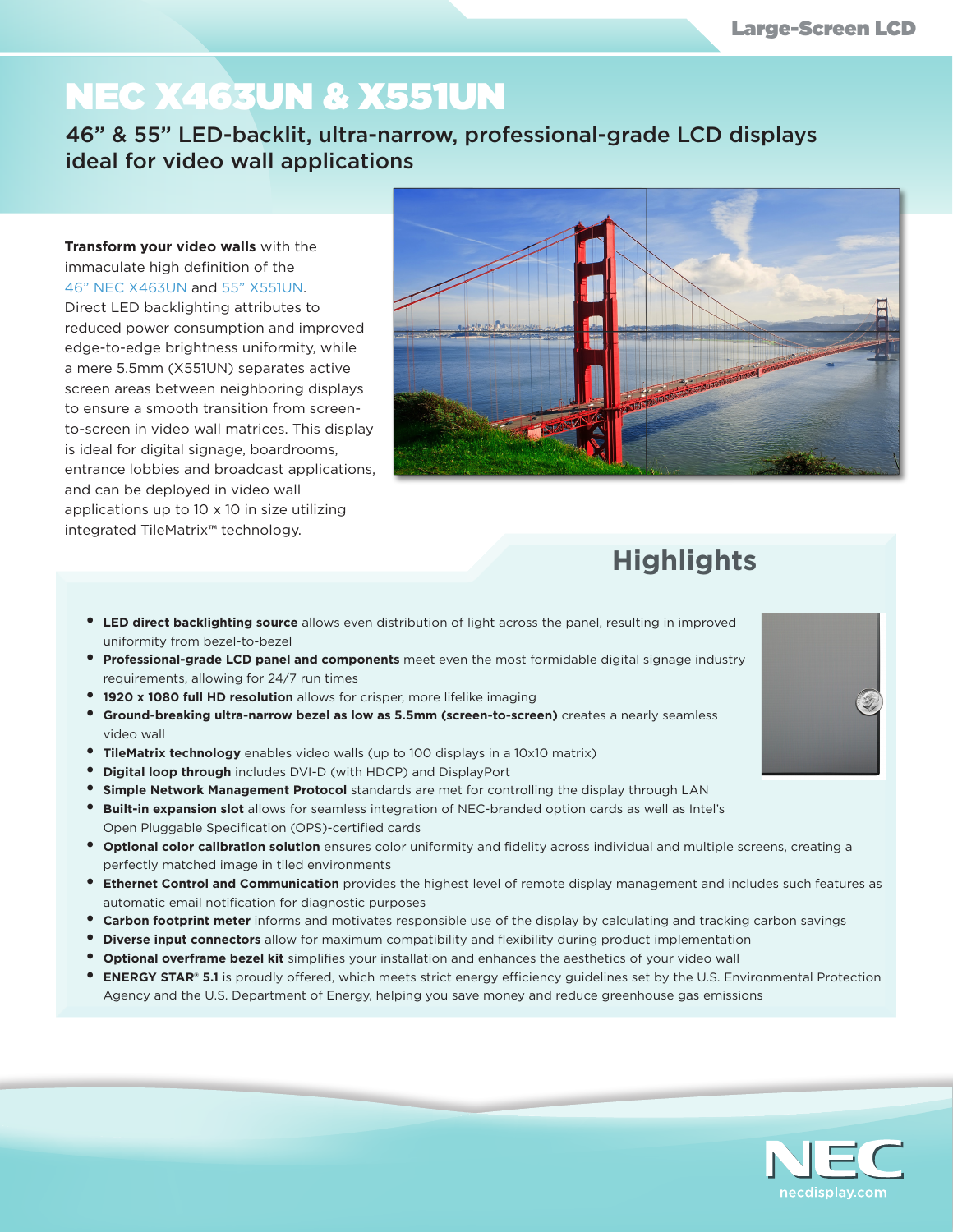## NEC X463UN & X551UN

46" & 55" LED-backlit, ultra-narrow, professional-grade LCD displays ideal for video wall applications

## **Transform your video walls** with the immaculate high definition of the 46" NEC X463UN and 55" X551UN.

Direct LED backlighting attributes to reduced power consumption and improved edge-to-edge brightness uniformity, while a mere 5.5mm (X551UN) separates active screen areas between neighboring displays to ensure a smooth transition from screento-screen in video wall matrices. This display is ideal for digital signage, boardrooms, entrance lobbies and broadcast applications, and can be deployed in video wall applications up to 10 x 10 in size utilizing integrated TileMatrix™ technology.



## **Highlights**

- **• LED direct backlighting source** allows even distribution of light across the panel, resulting in improved uniformity from bezel-to-bezel
- **•** Professional-grade LCD panel and components meet even the most formidable digital signage industry requirements, allowing for 24/7 run times
- **• 1920 x 1080 full HD resolution** allows for crisper, more lifelike imaging
- **• Ground-breaking ultra-narrow bezel as low as 5.5mm (screen-to-screen)** creates a nearly seamless video wall
- **• TileMatrix technology** enables video walls (up to 100 displays in a 10x10 matrix)
- **• Digital loop through** includes DVI-D (with HDCP) and DisplayPort
- **• Simple Network Management Protocol** standards are met for controlling the display through LAN
- **• Built-in expansion slot** allows for seamless integration of NEC-branded option cards as well as Intel's Open Pluggable Specification (OPS)-certified cards
- **• Optional color calibration solution** ensures color uniformity and fidelity across individual and multiple screens, creating a perfectly matched image in tiled environments
- **• Ethernet Control and Communication** provides the highest level of remote display management and includes such features as automatic email notification for diagnostic purposes
- **• Carbon footprint meter** informs and motivates responsible use of the display by calculating and tracking carbon savings
- **• Diverse input connectors** allow for maximum compatibility and flexibility during product implementation
- **• Optional overframe bezel kit** simplifies your installation and enhances the aesthetics of your video wall
- **• ENERGY STAR**® **5.1** is proudly offered, which meets strict energy efficiency guidelines set by the U.S. Environmental Protection Agency and the U.S. Department of Energy, helping you save money and reduce greenhouse gas emissions